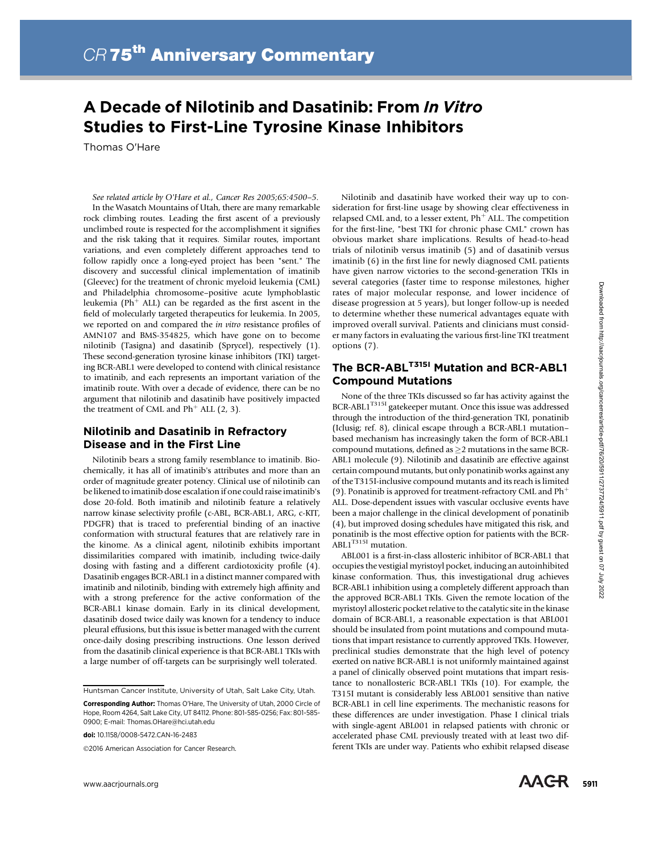# A Decade of Nilotinib and Dasatinib: From In Vitro Studies to First-Line Tyrosine Kinase Inhibitors

Thomas O'Hare

See related article by O'Hare et al., Cancer Res 2005;65:4500–5. In the Wasatch Mountains of Utah, there are many remarkable rock climbing routes. Leading the first ascent of a previously unclimbed route is respected for the accomplishment it signifies and the risk taking that it requires. Similar routes, important variations, and even completely different approaches tend to follow rapidly once a long-eyed project has been "sent." The discovery and successful clinical implementation of imatinib (Gleevec) for the treatment of chronic myeloid leukemia (CML) and Philadelphia chromosome–positive acute lymphoblastic leukemia (Ph<sup>+</sup> ALL) can be regarded as the first ascent in the field of molecularly targeted therapeutics for leukemia. In 2005, we reported on and compared the in vitro resistance profiles of AMN107 and BMS-354825, which have gone on to become nilotinib (Tasigna) and dasatinib (Sprycel), respectively (1). These second-generation tyrosine kinase inhibitors (TKI) targeting BCR-ABL1 were developed to contend with clinical resistance to imatinib, and each represents an important variation of the imatinib route. With over a decade of evidence, there can be no argument that nilotinib and dasatinib have positively impacted the treatment of CML and  $Ph<sup>+</sup>$  ALL (2, 3).

## Nilotinib and Dasatinib in Refractory Disease and in the First Line

Nilotinib bears a strong family resemblance to imatinib. Biochemically, it has all of imatinib's attributes and more than an order of magnitude greater potency. Clinical use of nilotinib can be likened to imatinib dose escalation if one could raise imatinib's dose 20-fold. Both imatinib and nilotinib feature a relatively narrow kinase selectivity profile (c-ABL, BCR-ABL1, ARG, c-KIT, PDGFR) that is traced to preferential binding of an inactive conformation with structural features that are relatively rare in the kinome. As a clinical agent, nilotinib exhibits important dissimilarities compared with imatinib, including twice-daily dosing with fasting and a different cardiotoxicity profile (4). Dasatinib engages BCR-ABL1 in a distinct manner compared with imatinib and nilotinib, binding with extremely high affinity and with a strong preference for the active conformation of the BCR-ABL1 kinase domain. Early in its clinical development, dasatinib dosed twice daily was known for a tendency to induce pleural effusions, but this issue is better managed with the current once-daily dosing prescribing instructions. One lesson derived from the dasatinib clinical experience is that BCR-ABL1 TKIs with a large number of off-targets can be surprisingly well tolerated.

Huntsman Cancer Institute, University of Utah, Salt Lake City, Utah.

2016 American Association for Cancer Research.

Nilotinib and dasatinib have worked their way up to consideration for first-line usage by showing clear effectiveness in relapsed CML and, to a lesser extent,  $Ph<sup>+</sup>$  ALL. The competition for the first-line, "best TKI for chronic phase CML" crown has obvious market share implications. Results of head-to-head trials of nilotinib versus imatinib (5) and of dasatinib versus imatinib (6) in the first line for newly diagnosed CML patients have given narrow victories to the second-generation TKIs in several categories (faster time to response milestones, higher rates of major molecular response, and lower incidence of disease progression at 5 years), but longer follow-up is needed to determine whether these numerical advantages equate with improved overall survival. Patients and clinicians must consider many factors in evaluating the various first-line TKI treatment options (7).

# The BCR-ABL<sup>T315I</sup> Mutation and BCR-ABL1 Compound Mutations

None of the three TKIs discussed so far has activity against the  $\rm{BCR\text{-}ABL1}^{\rm{T315I}}$  gatekeeper mutant. Once this issue was addressed through the introduction of the third-generation TKI, ponatinib (Iclusig; ref. 8), clinical escape through a BCR-ABL1 mutation– based mechanism has increasingly taken the form of BCR-ABL1 compound mutations, defined as  $\geq$  2 mutations in the same BCR-ABL1 molecule (9). Nilotinib and dasatinib are effective against certain compound mutants, but only ponatinib works against any of the T315I-inclusive compound mutants and its reach is limited (9). Ponatinib is approved for treatment-refractory CML and  $\mathrm{Ph}^+$ ALL. Dose-dependent issues with vascular occlusive events have been a major challenge in the clinical development of ponatinib (4), but improved dosing schedules have mitigated this risk, and ponatinib is the most effective option for patients with the BCR-ABL1<sup>T315I</sup> mutation.

ABL001 is a first-in-class allosteric inhibitor of BCR-ABL1 that occupies the vestigial myristoyl pocket, inducing an autoinhibited kinase conformation. Thus, this investigational drug achieves BCR-ABL1 inhibition using a completely different approach than the approved BCR-ABL1 TKIs. Given the remote location of the myristoyl allosteric pocket relative to the catalytic site in the kinase domain of BCR-ABL1, a reasonable expectation is that ABL001 should be insulated from point mutations and compound mutations that impart resistance to currently approved TKIs. However, preclinical studies demonstrate that the high level of potency exerted on native BCR-ABL1 is not uniformly maintained against a panel of clinically observed point mutations that impart resistance to nonallosteric BCR-ABL1 TKIs (10). For example, the T315I mutant is considerably less ABL001 sensitive than native BCR-ABL1 in cell line experiments. The mechanistic reasons for these differences are under investigation. Phase I clinical trials with single-agent ABL001 in relapsed patients with chronic or accelerated phase CML previously treated with at least two different TKIs are under way. Patients who exhibit relapsed disease

Corresponding Author: Thomas O'Hare, The University of Utah, 2000 Circle of Hope, Room 4264, Salt Lake City, UT 84112. Phone: 801-585-0256; Fax: 801-585- 0900; E-mail: Thomas.OHare@hci.utah.edu

doi: 10.1158/0008-5472.CAN-16-2483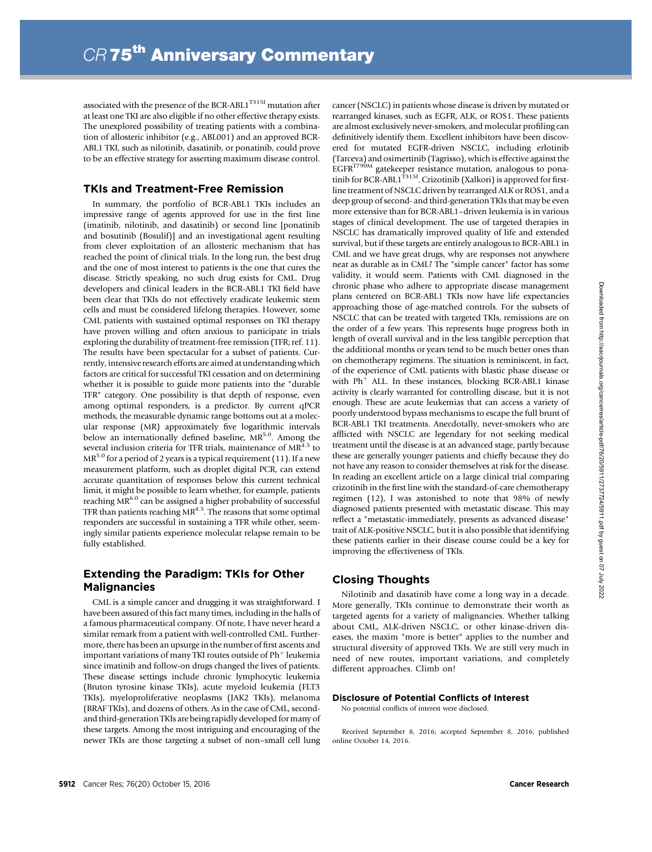associated with the presence of the BCR-ABL1 $^{T3151}$  mutation after at least one TKI are also eligible if no other effective therapy exists. The unexplored possibility of treating patients with a combination of allosteric inhibitor (e.g., ABL001) and an approved BCR-ABL1 TKI, such as nilotinib, dasatinib, or ponatinib, could prove to be an effective strategy for asserting maximum disease control.

## TKIs and Treatment-Free Remission

In summary, the portfolio of BCR-ABL1 TKIs includes an impressive range of agents approved for use in the first line (imatinib, nilotinib, and dasatinib) or second line [ponatinib and bosutinib (Bosulif)] and an investigational agent resulting from clever exploitation of an allosteric mechanism that has reached the point of clinical trials. In the long run, the best drug and the one of most interest to patients is the one that cures the disease. Strictly speaking, no such drug exists for CML. Drug developers and clinical leaders in the BCR-ABL1 TKI field have been clear that TKIs do not effectively eradicate leukemic stem cells and must be considered lifelong therapies. However, some CML patients with sustained optimal responses on TKI therapy have proven willing and often anxious to participate in trials exploring the durability of treatment-free remission (TFR; ref. 11). The results have been spectacular for a subset of patients. Currently, intensive research efforts are aimed at understanding which factors are critical for successful TKI cessation and on determining whether it is possible to guide more patients into the "durable TFR" category. One possibility is that depth of response, even among optimal responders, is a predictor. By current qPCR methods, the measurable dynamic range bottoms out at a molecular response (MR) approximately five logarithmic intervals below an internationally defined baseline,  $MR^{5.0}$ . Among the several inclusion criteria for TFR trials, maintenance of MR<sup>4.5</sup> to  $MR<sup>5.0</sup>$  for a period of 2 years is a typical requirement (11). If a new measurement platform, such as droplet digital PCR, can extend accurate quantitation of responses below this current technical limit, it might be possible to learn whether, for example, patients reaching MR<sup>6.0</sup> can be assigned a higher probability of successful TFR than patients reaching  $MR<sup>4.5</sup>$ . The reasons that some optimal responders are successful in sustaining a TFR while other, seemingly similar patients experience molecular relapse remain to be fully established.

# Extending the Paradigm: TKIs for Other Malignancies

CML is a simple cancer and drugging it was straightforward. I have been assured of this fact many times, including in the halls of a famous pharmaceutical company. Of note, I have never heard a similar remark from a patient with well-controlled CML. Furthermore, there has been an upsurge in the number of first ascents and important variations of many TKI routes outside of  $Ph<sup>+</sup>$  leukemia since imatinib and follow-on drugs changed the lives of patients. These disease settings include chronic lymphocytic leukemia (Bruton tyrosine kinase TKIs), acute myeloid leukemia (FLT3 TKIs), myeloproliferative neoplasms (JAK2 TKIs), melanoma (BRAF TKIs), and dozens of others. As in the case of CML, secondand third-generation TKIs are being rapidly developed for many of these targets. Among the most intriguing and encouraging of the newer TKIs are those targeting a subset of non–small cell lung cancer (NSCLC) in patients whose disease is driven by mutated or rearranged kinases, such as EGFR, ALK, or ROS1. These patients are almost exclusively never-smokers, and molecular profiling can definitively identify them. Excellent inhibitors have been discovered for mutated EGFR-driven NSCLC, including erlotinib (Tarceva) and osimertinib (Tagrisso), which is effective against the EGFR<sup>T790M</sup> gatekeeper resistance mutation, analogous to ponatinib for  $BCR-ABL1$ <sup>T315I</sup>. Crizotinib (Xalkori) is approved for firstline treatment of NSCLC driven by rearranged ALK or ROS1, and a deep group of second- and third-generation TKIs that may be even more extensive than for BCR-ABL1–driven leukemia is in various stages of clinical development. The use of targeted therapies in NSCLC has dramatically improved quality of life and extended survival, but if these targets are entirely analogous to BCR-ABL1 in CML and we have great drugs, why are responses not anywhere near as durable as in CML? The "simple cancer" factor has some validity, it would seem. Patients with CML diagnosed in the chronic phase who adhere to appropriate disease management plans centered on BCR-ABL1 TKIs now have life expectancies approaching those of age-matched controls. For the subsets of NSCLC that can be treated with targeted TKIs, remissions are on the order of a few years. This represents huge progress both in length of overall survival and in the less tangible perception that the additional months or years tend to be much better ones than on chemotherapy regimens. The situation is reminiscent, in fact, of the experience of CML patients with blastic phase disease or with  $Ph<sup>+</sup>$  ALL. In these instances, blocking BCR-ABL1 kinase activity is clearly warranted for controlling disease, but it is not enough. These are acute leukemias that can access a variety of poorly understood bypass mechanisms to escape the full brunt of BCR-ABL1 TKI treatments. Anecdotally, never-smokers who are afflicted with NSCLC are legendary for not seeking medical treatment until the disease is at an advanced stage, partly because these are generally younger patients and chiefly because they do not have any reason to consider themselves at risk for the disease. In reading an excellent article on a large clinical trial comparing crizotinib in the first line with the standard-of-care chemotherapy regimen (12), I was astonished to note that 98% of newly diagnosed patients presented with metastatic disease. This may reflect a "metastatic-immediately, presents as advanced disease" trait of ALK-positive NSCLC, but it is also possible that identifying these patients earlier in their disease course could be a key for improving the effectiveness of TKIs.

### Closing Thoughts

Nilotinib and dasatinib have come a long way in a decade. More generally, TKIs continue to demonstrate their worth as targeted agents for a variety of malignancies. Whether talking about CML, ALK-driven NSCLC, or other kinase-driven diseases, the maxim "more is better" applies to the number and structural diversity of approved TKIs. We are still very much in need of new routes, important variations, and completely different approaches. Climb on!

#### Disclosure of Potential Conflicts of Interest

No potential conflicts of interest were disclosed.

Received September 8, 2016; accepted September 8, 2016; published online October 14, 2016.